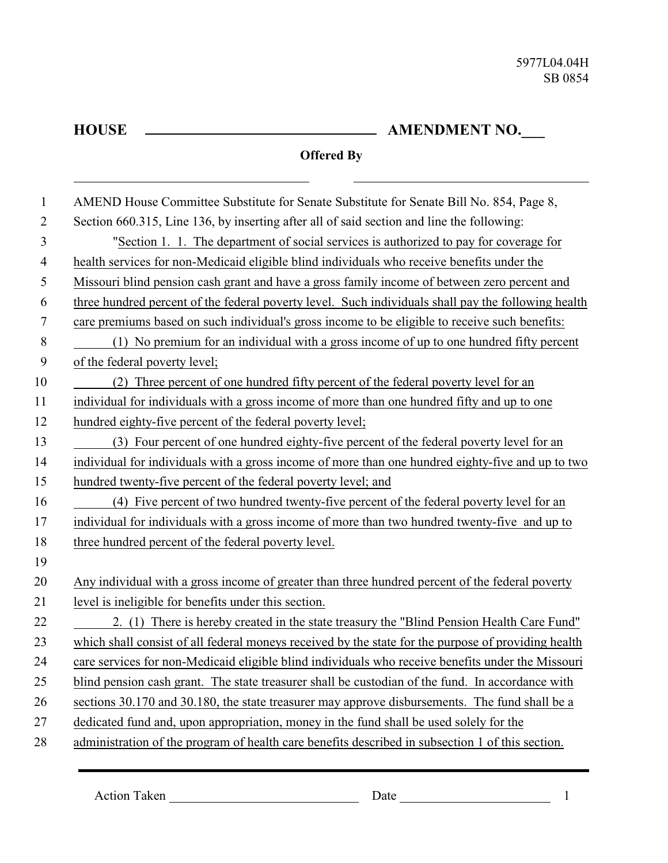L

## **AMENDMENT NO.\_\_\_**

## **Offered By**

| $\mathbf{1}$     | AMEND House Committee Substitute for Senate Substitute for Senate Bill No. 854, Page 8,             |
|------------------|-----------------------------------------------------------------------------------------------------|
| $\overline{2}$   | Section 660.315, Line 136, by inserting after all of said section and line the following:           |
| 3                | "Section 1. 1. The department of social services is authorized to pay for coverage for              |
| $\overline{4}$   | health services for non-Medicaid eligible blind individuals who receive benefits under the          |
| 5                | Missouri blind pension cash grant and have a gross family income of between zero percent and        |
| 6                | three hundred percent of the federal poverty level. Such individuals shall pay the following health |
| $\boldsymbol{7}$ | care premiums based on such individual's gross income to be eligible to receive such benefits:      |
| 8                | (1) No premium for an individual with a gross income of up to one hundred fifty percent             |
| 9                | of the federal poverty level;                                                                       |
| 10               | (2) Three percent of one hundred fifty percent of the federal poverty level for an                  |
| 11               | individual for individuals with a gross income of more than one hundred fifty and up to one         |
| 12               | hundred eighty-five percent of the federal poverty level;                                           |
| 13               | (3) Four percent of one hundred eighty-five percent of the federal poverty level for an             |
| 14               | individual for individuals with a gross income of more than one hundred eighty-five and up to two   |
| 15               | hundred twenty-five percent of the federal poverty level; and                                       |
| 16               | (4) Five percent of two hundred twenty-five percent of the federal poverty level for an             |
| 17               | individual for individuals with a gross income of more than two hundred twenty-five and up to       |
| 18               | three hundred percent of the federal poverty level.                                                 |
| 19               |                                                                                                     |
| 20               | Any individual with a gross income of greater than three hundred percent of the federal poverty     |
| 21               | level is ineligible for benefits under this section.                                                |
| 22               | 2. (1) There is hereby created in the state treasury the "Blind Pension Health Care Fund"           |
| 23               | which shall consist of all federal moneys received by the state for the purpose of providing health |
| 24               | care services for non-Medicaid eligible blind individuals who receive benefits under the Missouri   |
| 25               | blind pension cash grant. The state treasurer shall be custodian of the fund. In accordance with    |
| 26               | sections 30.170 and 30.180, the state treasurer may approve disbursements. The fund shall be a      |
| 27               | dedicated fund and, upon appropriation, money in the fund shall be used solely for the              |
| 28               | administration of the program of health care benefits described in subsection 1 of this section.    |

Action Taken 1